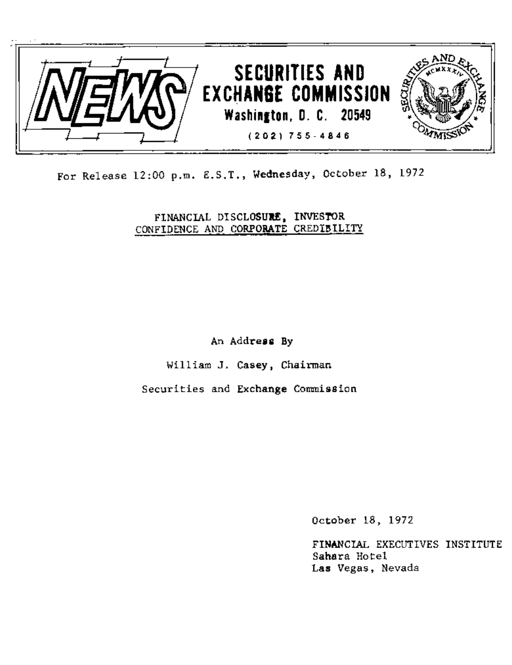

For Release 12:00 p.m.E.S.T., Wednesday, October 18, 1972

FINANCIAL DISCLOSURE, INVESTOR CONFIDENCE AND CORPORATE CREDIBILITY

An Address By

William J. Casey, Chairman

Securities and Exchange Commission

October 18, 1972

FINANCIAL EXECUTIVES INSTITUTE Sahara Hotel Las Vegas, Nevada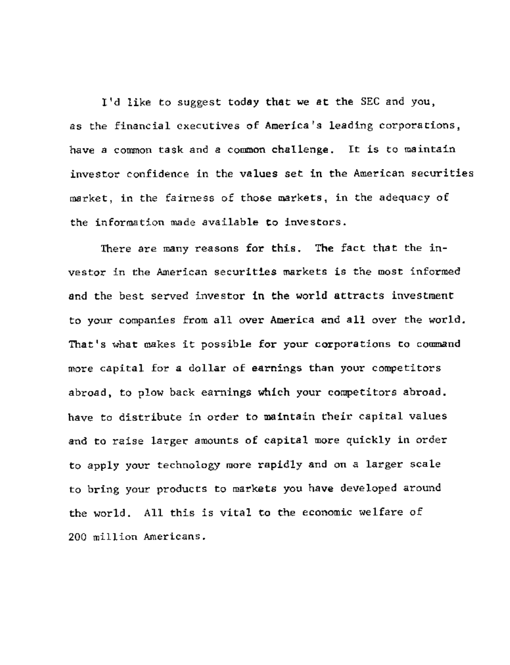I'd like to suggest today that we at the SEC and you, as the financial executives of America's leading corporations, have a common task and a common challenge. It is to maintain investor confidence in the values set in the American securities market, in the fairness of those markets, in the adequacy of the information made available to investors.

There are many reasons for this. The fact that the investor in the American securities markets is the most informed and the best served investor in the world attracts investment to your companies from all over America and all over the world. That's what makes it possible for your corporations to command more capital for a dollar of earnings than your competitors abroad, to plow back earnings which your competitors abroad. have to distribute in order to maintain their capital values and to raise larger amounts of capital more quickly in order to apply your technology more rapidly and on a larger scale to bring your products to markets you have developed around the world. All this is vital to the economic welfare of 200 million Americans.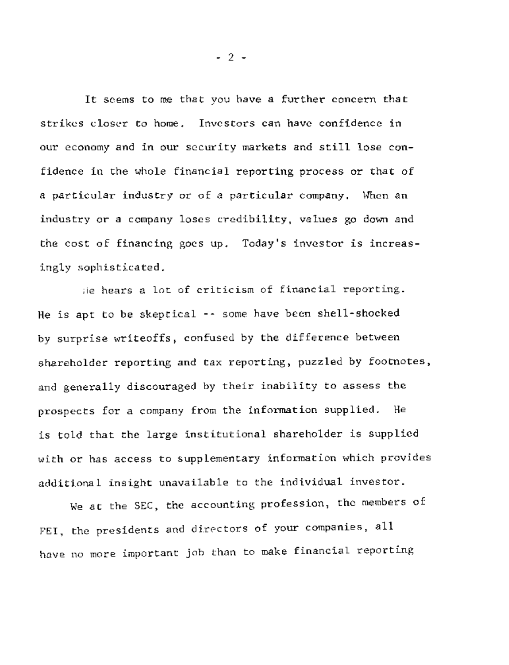It seems to me that you have a further concern that strikes closer to home. Investors can have confidence in our economy and in our security markets and still lose confidence in the whole financial reporting process or that of a particular industry or of a particular company. When an industry or a company loses credibility, values go down and the cost of financing goes up. Today's investor is increasingly sophisticated.

He hears a lot of criticism of financial reporting. He is apt to be skeptical -- some have been shell-shocked by surprise writeoffs, confused by the difference between shareholder reporting and tax reporting, puzzled by footnotes, and generally discouraged by their inability to assess the prospects for a company from the information supplied. He is told that the large institutional shareholder is supplied with or has access to supplementary information which provides additional insight unavailable to the individual investor.

We at the SEC, the accounting profession, the members of FEI, the presidents and directors of your companies, all have no more important job than to make financial reporting

**- 2 -**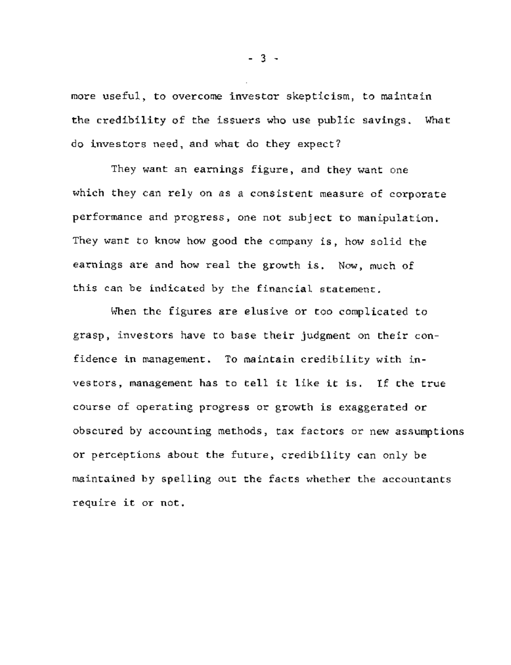more useful, to overcome investor skepticism, to maintain the credibility of the issuers who use public savings. What do investors need, andwhat do they expect?

They want an earnings figure, and they want one which they can rely on as a consistent measure of corporate performance and progress, one not subject to manipulation. They want to know how good the company is, how solid the earnings are and how real the growth is. Now, much of this can be indicated by the financial statement.

When the figures are elusive or too complicated to grasp, investors have to base their judgment on their confidence in management. To maintain credibility with investors, management has to tell it like it is. If the true course of operating progress or growth is exaggerated or obscured by accounting methods, tax factors or new assumptions or perceptions about the future, credibility can only be maintained by spelling out the facts whether the accountants require it or not.

**- 3 -**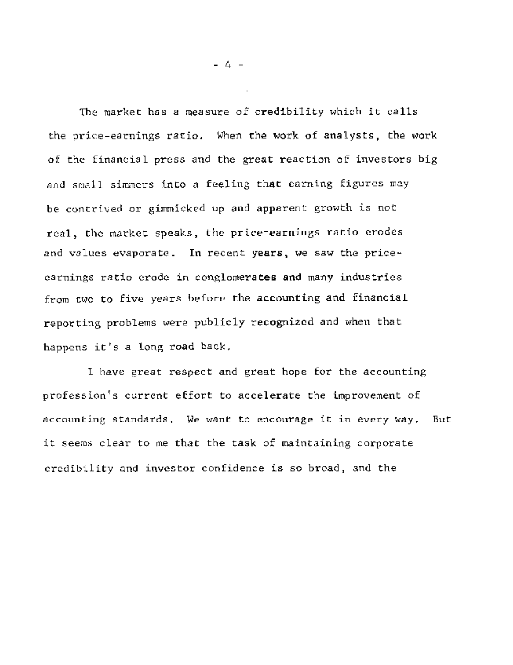The market has a measure of credibility which it calls the price-earnings ratio. When the work of analysts, the work of the financial press and the great reaction of investors big and small simmers into a feeling that earning figures may be contrived or gimmicked up and apparent growth is not real, the market speaks, the price-earnings ratio erodes and values evaporate. In recent years, we saw the priceearnings ratio erode in conglomerates and many industries from two to five years before the accounting and financial reporting problems were publicly recognized and when that happens it's a long road back.

I have great respect and great hope for the accounting profession's current effort to accelerate the improvement of accounting standards. We want to encourage it in every way. it seems clear to me that the task of maintaining corporate credibility and investor confidence is so broad, and the But

**- 4 -**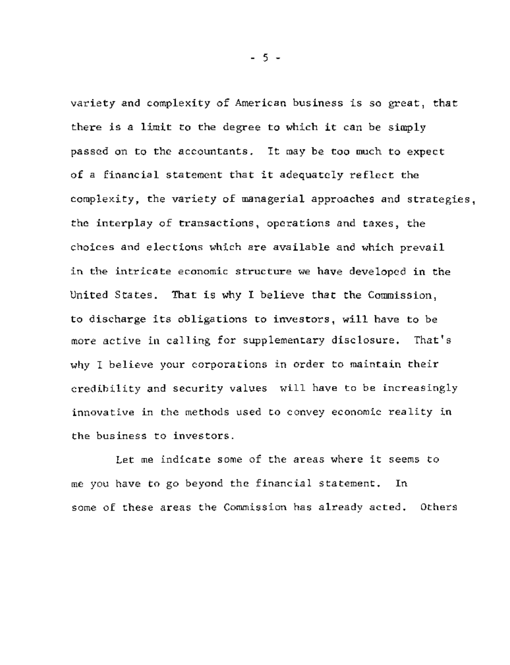variety and complexity of American business is so great, that there is a limit to the degree to which it can be simply passed on to the accountants. It may be too much to expect of a financial statement that it adequately reflect the complexity, the variety of managerial approaches and strategies, the interplay of transactions, operations and taxes, the choices and elections which are available and which prevail in the intricate economic structure we have developed in the United States. That is why I believe that the Commission, to discharge its obligations to investors, will have to be more active in calling for supplementary disclosure. That's why I believe your corporations in order to maintain their credibility and security values will have to be increasingly innovative in the methods used to convey economic reality in the business to investors.

Let me indicate some of the areas where it seems to me you have to go beyond the financial statement. In some of these areas the Commission has already acted. Others

**- 5 -**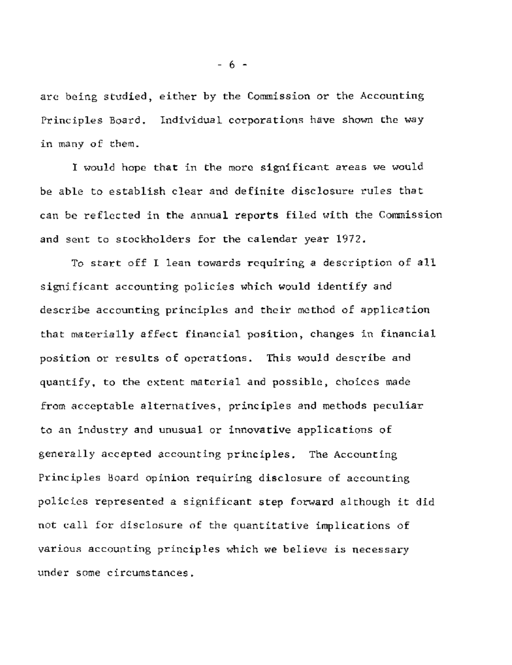are being studied, either by the Commission or the Accounting Principles Board. Individual corporations have shown the way in many of them.

I would hope that in the more significant areas we would be able to establish clear and definite disclosure rules that can be reflected in the annual reports filed with the Commission and sent to stockholders for the calendar year 1972.

To start off I lean towards requiring a description of all significant accounting policies which would identify and describe accounting principles and their method of application that materially affect financial position, changes in financial position or results of operations. This would describe and quantify, to the extent material and possible, choices made from acceptable alternatives, principles and methods peculiar to an industry and unusual or innovative applications of generally accepted accounting principles. The Accounting Principles Board opinion requiring disclosure of accounting policies represented a significant step forward although it did not call for disclosure of the quantitative implications of various accounting principles which we believe is necessary under some circumstances.

**- 6 -**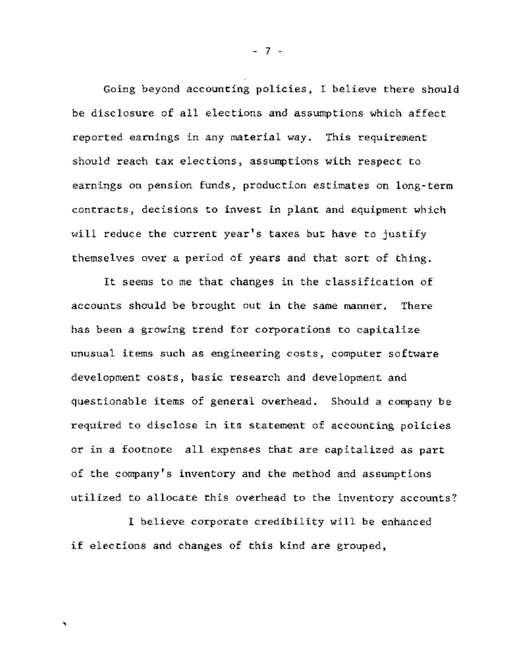Going beyond accounting policies, I believe there should be disclosure of all elections and assumptions which affect reported earnings in any material way. This requirement should reach tax elections, assumptions with respect to earnings on pension funds, production estimates on long-term contracts, decisions to invest in plant and equipment which will reduce the current year's taxes but have to justify themselves over a period of years and that sort of thing.

It seems to me that changes in the classification of accounts should be brought out in the same manner. There has been a growing trend for corporations to capitalize unusual items such as engineering costs, computer software development costs, basic research and development and questionable items of general overhead. Should a company be required to disclose in its statement of accounting policies or in a footnote all expenses that are capitalized as part of the company's inventory and the method and assumptions utilized to allocate this overhead to the inventory accounts?

I believe corporate credibility will be enhanced if elections and changes of this kind are grouped,

Ñ

**- 7 -**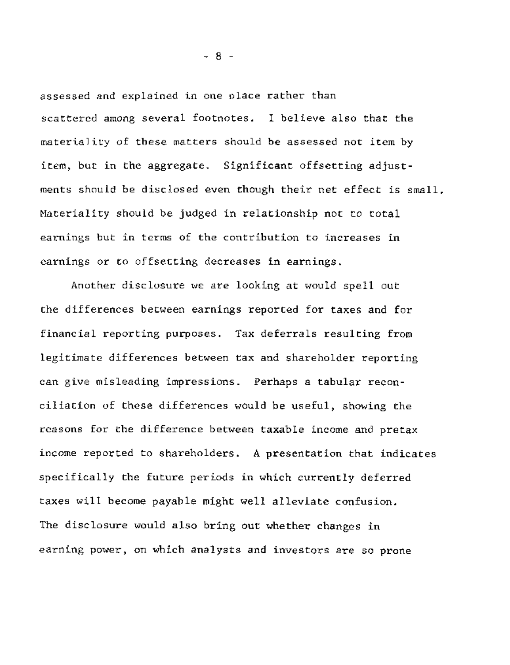assessed and explained in one place rather than scattered among several footnotes. I believe also that the materiality of these matters should be assessed not item by item, but in the aggregate. Significant offsetting adjustments should be disclosed even though their net effect is small. Materiality should be judged in relationship not to total earnings but in terms of the contribution to increases in earnings or to offsetting decreases in earnings.

Another disclosure we are looking at would spell out the differences between earnings reported for taxes and for financial reporting purposes. Tax deferrals resulting from legitimate differences between tax and shareholder reporting can give misleading impressions. Perhaps a tabular reconciliation of these differences would be useful, showing the reasons for the difference between taxable income and pretax income reported to shareholders. A presentation that indicates specifically the future periods in which currently deferred taxes will become payable might well alleviate confusion. The disclosure would also bring out whether changes in earning power, on which analysts and investors are so prone

**- 8**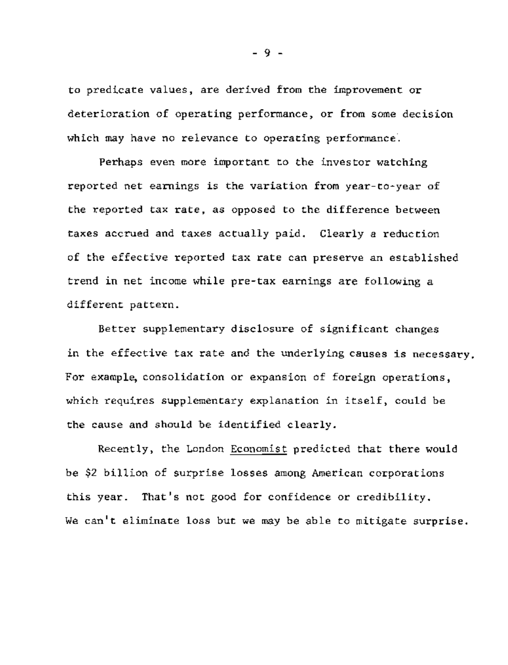to predicate values, are derived from the improvement or deterioration of operating performance, or from some decision which may have no relevance to operating performance.

Perhaps even more important to the investor watching reported net earnings is the variation from year-to-year of the reported tax rate, as opposed to the difference between taxes accrued and taxes actually paid. Clearly a reduction of the effective reported tax rate can preserve an established trend in net income while pre-tax earnings are following a different pattern.

Better supplementary disclosure of significant changes in the effective tax rate and the underlying causes is necessary. For example, consolidation or expansion of foreign operations, which requires supplementary explanation in itself, could be the cause and should be identified clearly.

Recently, the London Economist predicted that there would be \$2 billion of surprise losses among American corporations this year. That's not good for confidence or credibility. We can't eliminate loss but we may be able to mitigate surprise.

**- 9 -**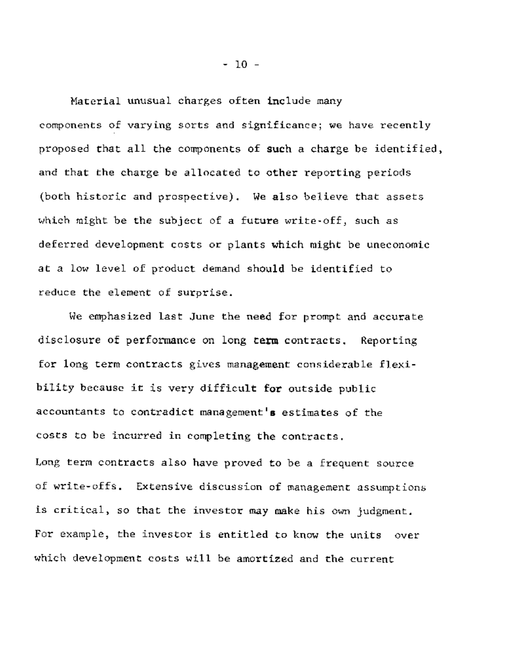Material unusual charges often include many components of varying sorts and significance; we have recently proposed that all the components of such a charge be identified, and that the charge be allocated to other reporting periods (both historic and prospective). We also believe that assets which might be the subject of a future write-off, such as deferred development costs or plants which might be uneconomic at a low level of product demand should be identified to reduce the element of surprise.

We emphasized last June the need for prompt and accurate disclosure of performance on long term contracts. Reporting for long term contracts gives management considerable flexibility because it is very difficult for outside public accountants to contradict management's estimates of the costs to be incurred in completing the contracts. Long term contracts also have proved to be a frequent source of write-offs. Extensive discussion of management assumptions is critical, so that the investor may make his own judgment. For example, the investor is entitled to know the units over which development costs will be amortized and the current

**- I0 -**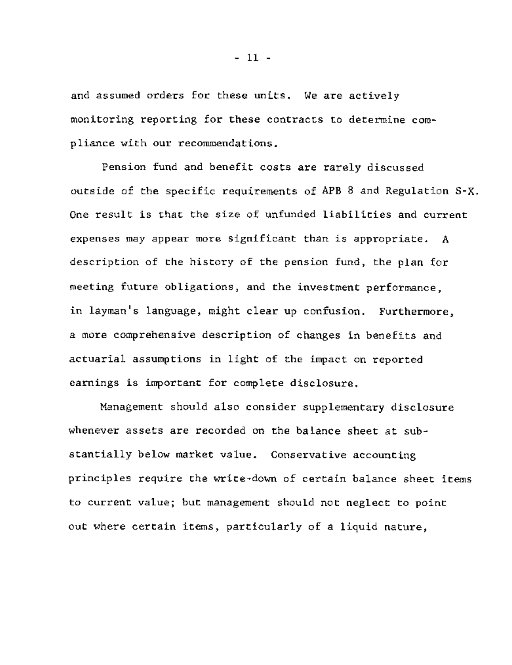and assumed orders for these units. We are actively monitoring reporting for these contracts to determine compliance with our recommendations.

Pension fund and benefit costs are rarely discussed outside of the specific requirements of APB 8 and Regulation S-X. One result is that the size of unfunded liabilities and current expenses may appear more significant than is appropriate. A description of the history of the pension fund, the plan for meeting future obligations, and the investment performance, in layman's language, might clear up confusion. Furthermore, a more comprehensive description of changes in benefits and actuarial assumptions in light of the impact on reported earnings is important for complete disclosure.

Management should also consider supplementary disclosure whenever assets are recorded on the balance sheet at substantially below market value. Conservative accounting principles require the write-down of certain balance sheet items to current value; but management should not neglect to point out where certain items, particularly of a liquid nature,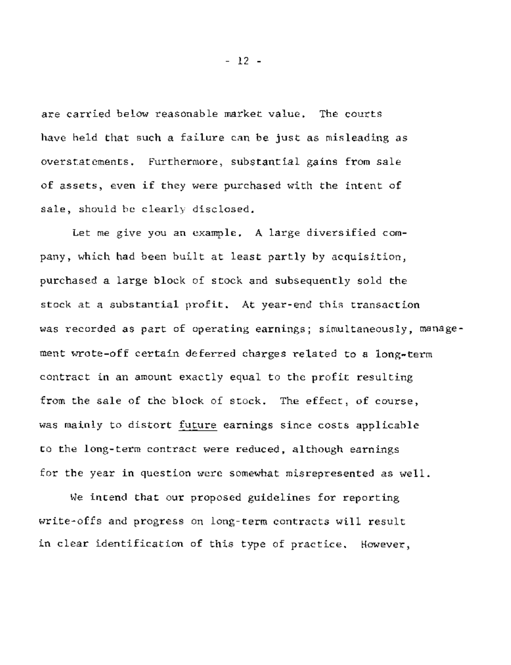are carried below reasonable market value. The courts have held that such a failure can be just as misleading as overstatements. Furthermore, substantial gains from sale of assets, even if they were purchased with the intent of sale, should be clearly disclosed.

Let me give you an example. A large diversified company, which had been built at least partly by acquisition, purchased a large block of stock and subsequently sold the stock at a substantial profit. At year-end this transaction was recorded as part of operating earnings; simultaneously, management wrote-off certain deferred charges related to a long-term contract in an amount exactly equal to the profit resulting from the sale of the block of stock. The effect, of course, was mainly to distort future earnings since costs applicable to the long-term contract were reduced, although earnings for the year in question were somewhat misrepresented as well.

We intend that our proposed guidelines for reporting write-offs and progress on long-term contracts will result in clear identification of this type of practice. However,

**- 12 -**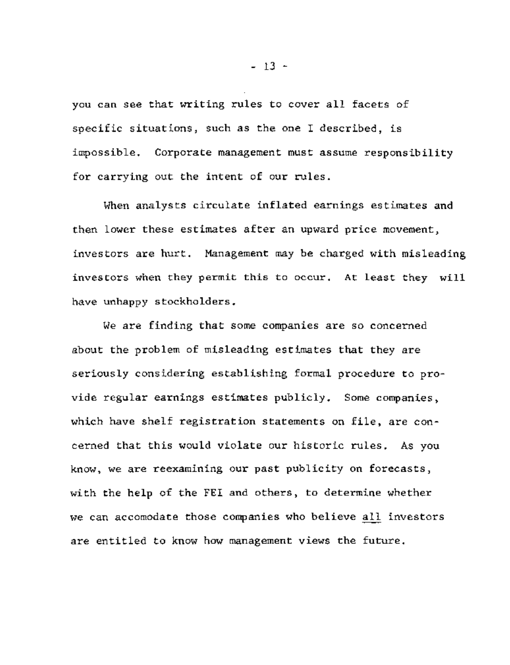you can see that writing rules to cover all facets of specific situations, such as the one I described, is impossible. Corporate management must assume responsibility for carrying out the intent of our rules.

When analysts circulate inflated earnings estimates and then lower these estimates after an upward price movement, investors are hurt. Management may be charged with misleading investors when they permit this to occur. At least they will have unhappy stockholders.

We are finding that some companies are so concerned about the problem of misleading estimates that they are seriously considering establishing formal procedure to provide regular earnings estimates publicly. Some companies, which have shelf registration statements on file, are concerned that this would violate our historic rules. As you know, we are reexamining our past publicity on forecasts, with the help of the FEI and others, to determine whether we can accomodate those companies who believe all investors are entitled to know how management views the future.

**- 13 -**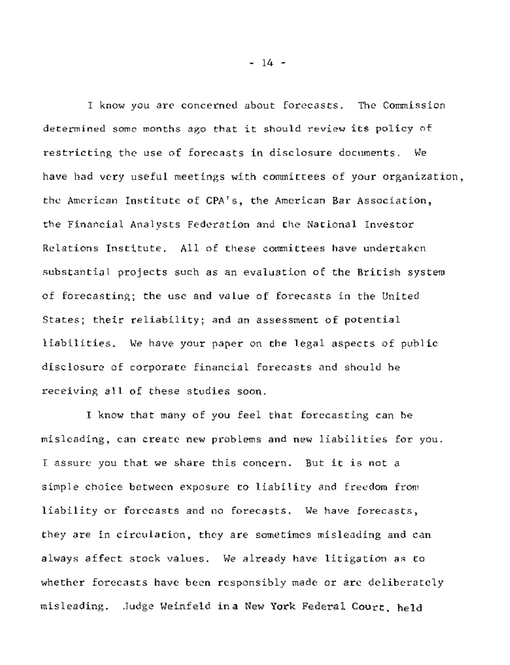I know you are concerned about forecasts. The Commission determined some months ago that it should review its policy of restricting the use of forecasts in disclosure documents. We have had very useful meetings with committees of your organization, the American Institute of CPA's, the American Bar Association, the Financial Analysts Federation and the National Investor Relations Institute. All of these committees have undertaken substantial projects such as an evaluation of the British system of forecasting; the use and value of forecasts in the United States; their reliability; and an assessment of potential liabilities. We have your paper on the legal aspects of public disclosure of corporate financial forecasts and should be receiving all of these studies soon.

I know that many of you feel that forecasting can be misleading, can create new problems and new liabilities for you. I assure you that we share this concern. But it is not a simple choice between exposure to liability and freedom from liability or forecasts and no forecasts. We have forecasts, they are in circulation, they are sometimes misleading and can always affect stock values. We already have litigation as to whether forecasts have been responsibly made or are deliberately misleading. Judge Weinfeld in a New York Federal Court, held

**- 14 -**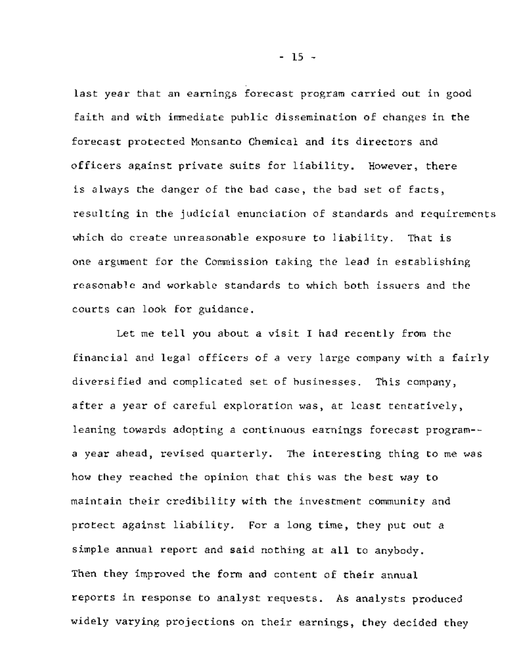last year that an earnings forecast program carried out in good faith and with immediate public dissemination of changes in the forecast protected Monsanto Chemical and its directors and officers against private suits for liability. However, there is always the danger of the bad case, the bad set of facts, resulting in the judicial enunciation of standards and requirements which do create unreasonable exposure to liability. That is one argument for the Commission taking the lead in establishing reasonable and workable standards to which both issuers and the courts can look for guidance.

Let me tell you about a visit I had recently from the financial and legal officers of a very large company with a fairly diversified and complicated set of businesses. This company, after a year of careful exploration was, at least tentatively, leaning towards adopting a continuous earnings forecast program- a year ahead, revised quarterly. The interesting thing to me was how they reached the opinion that this was the best way to maintain their credibility with the investment community and protect against liability. For a long time, they put out a simple annual report and said nothing at all to anybody. Then they improved the form and content of their annual reports in response to analyst requests. As analysts produced widely varying projections on their earnings, they decided they

**- 15 -**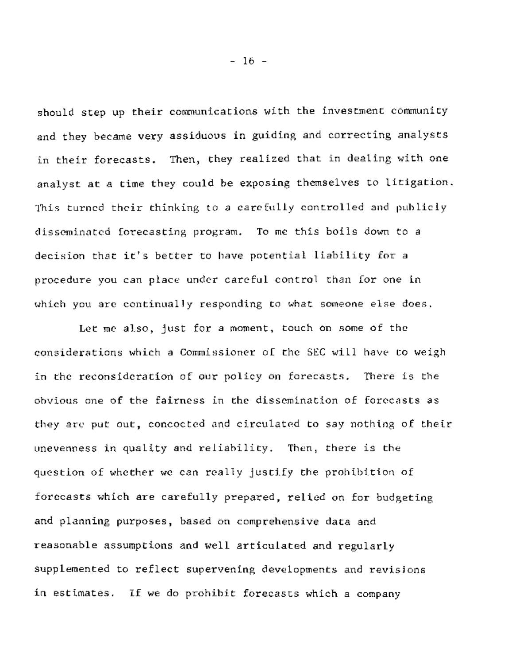should step up their communications with the investment community and they became very assiduous in guiding and correcting analysts in their forecasts. Then, they realized that in dealing with one analyst at a time they could be exposing themselves to litigation. This turned their thinking to a carefully controlled and publicly disseminated forecasting program. To me this boils down to a decision that it's better to have potential liability for a procedure you can place under careful control than for one in which you are continually responding to what someone else does.

Let me also, just for a moment, touch on some of the considerations which a Commissioner of the SEC will have to weigh in the reconsideration of our policy on forecasts. There is the obvious one of the fairness in the dissemination of forecasts as they are put out, concocted and circulated to say nothing of their unevenness in quality and reliability. Then, there is the question of whether we can really justify the prohibition of forecasts which are carefully prepared, relied on for budgeting and planning purposes, based on comprehensive data and reasonable assumptions and well articulated and regularly supplemented to reflect supervening developments and revisions in estimates. If we do prohibit forecasts which a company

**- 16 -**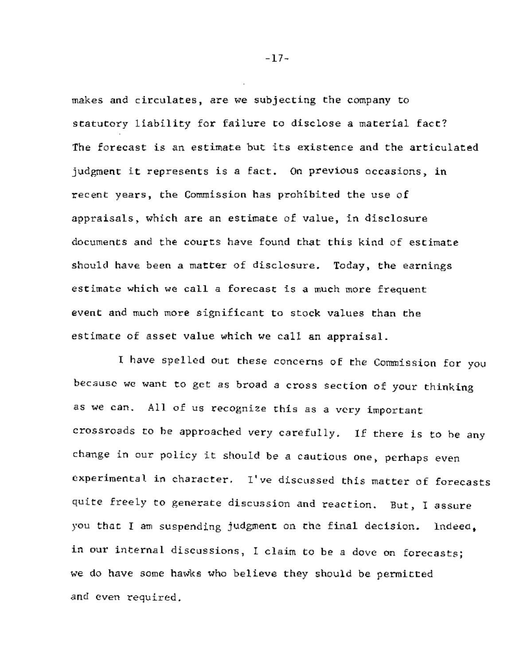makes and circulates, are we subjecting the company to statutory liability for failure to disclose a material fact? The forecast is an estimate but its existence and the articulated judgment it represents is a fact. On previous occasions, in recent years, the Commission has prohibited the use of appraisals, which are an estimate of value, in disclosure documents and the courts have found that this kind of estimate should have been a matter of disclosure. Today, the earnings estimate which we call a forecast is a much more frequent event and much more significant to stock values than the estimate of asset value which we call an appraisal.

I have spelled out these concerns of the Commission for you because we want to get as broad a cross section of your thinking as we can. All of us recognize this as a very important crossroads to be approached very carefully. If there is to be any change in our policy it should be a cautious one, perhaps even experimental in character. I've discussed this matter of forecasts quite freely to generate discussion and reaction. But, I assure you that I am suspending judgment on the final decision. Indeed, in our internal discussions, I claim to be a dove on forecasts; we do have some hawks who believe they should be permitted and even required.

 $-17-$